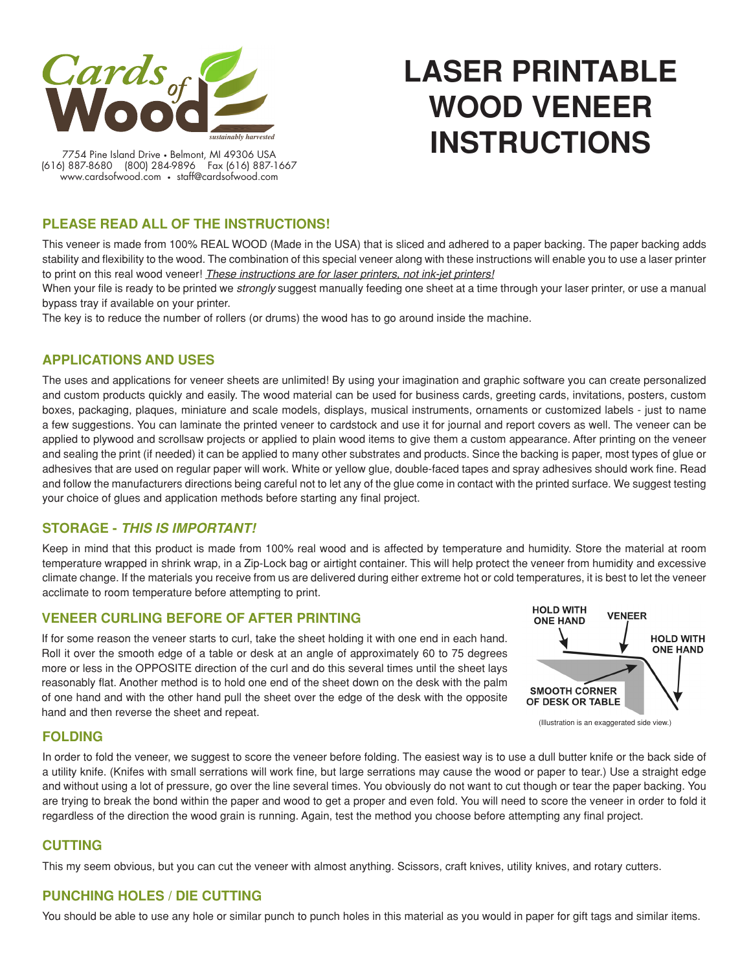

# **LASER PRINTABLE WOOD VENEER INSTRUCTIONS**

7754 Pine Island Drive • Belmont, MI 49306 USA (616) 887-8680 (800) 284-9896 Fax (616) 887-1667 www.cardsofwood.com • staff@cardsofwood.com

## **PLEASE READ ALL OF THE INSTRUCTIONS!**

This veneer is made from 100% REAL WOOD (Made in the USA) that is sliced and adhered to a paper backing. The paper backing adds stability and flexibility to the wood. The combination of this special veneer along with these instructions will enable you to use a laser printer to print on this real wood veneer! *These instructions are for laser printers, not ink-jet printers!*

When your file is ready to be printed we *strongly* suggest manually feeding one sheet at a time through your laser printer, or use a manual bypass tray if available on your printer.

The key is to reduce the number of rollers (or drums) the wood has to go around inside the machine.

### **APPLICATIONS AND USES**

The uses and applications for veneer sheets are unlimited! By using your imagination and graphic software you can create personalized and custom products quickly and easily. The wood material can be used for business cards, greeting cards, invitations, posters, custom boxes, packaging, plaques, miniature and scale models, displays, musical instruments, ornaments or customized labels - just to name a few suggestions. You can laminate the printed veneer to cardstock and use it for journal and report covers as well. The veneer can be applied to plywood and scrollsaw projects or applied to plain wood items to give them a custom appearance. After printing on the veneer and sealing the print (if needed) it can be applied to many other substrates and products. Since the backing is paper, most types of glue or adhesives that are used on regular paper will work. White or yellow glue, double-faced tapes and spray adhesives should work fine. Read and follow the manufacturers directions being careful not to let any of the glue come in contact with the printed surface. We suggest testing your choice of glues and application methods before starting any final project.

#### **STORAGE -** *THIS IS IMPORTANT!*

Keep in mind that this product is made from 100% real wood and is affected by temperature and humidity. Store the material at room temperature wrapped in shrink wrap, in a Zip-Lock bag or airtight container. This will help protect the veneer from humidity and excessive climate change. If the materials you receive from us are delivered during either extreme hot or cold temperatures, it is best to let the veneer acclimate to room temperature before attempting to print.

#### **VENEER CURLING BEFORE OF AFTER PRINTING**

If for some reason the veneer starts to curl, take the sheet holding it with one end in each hand. Roll it over the smooth edge of a table or desk at an angle of approximately 60 to 75 degrees more or less in the OPPOSITE direction of the curl and do this several times until the sheet lays reasonably flat. Another method is to hold one end of the sheet down on the desk with the palm of one hand and with the other hand pull the sheet over the edge of the desk with the opposite hand and then reverse the sheet and repeat.



**FOLDING**

In order to fold the veneer, we suggest to score the veneer before folding. The easiest way is to use a dull butter knife or the back side of a utility knife. (Knifes with small serrations will work fine, but large serrations may cause the wood or paper to tear.) Use a straight edge and without using a lot of pressure, go over the line several times. You obviously do not want to cut though or tear the paper backing. You are trying to break the bond within the paper and wood to get a proper and even fold. You will need to score the veneer in order to fold it regardless of the direction the wood grain is running. Again, test the method you choose before attempting any final project.

#### **CUTTING**

This my seem obvious, but you can cut the veneer with almost anything. Scissors, craft knives, utility knives, and rotary cutters.

## **PUNCHING HOLES / DIE CUTTING**

You should be able to use any hole or similar punch to punch holes in this material as you would in paper for gift tags and similar items.